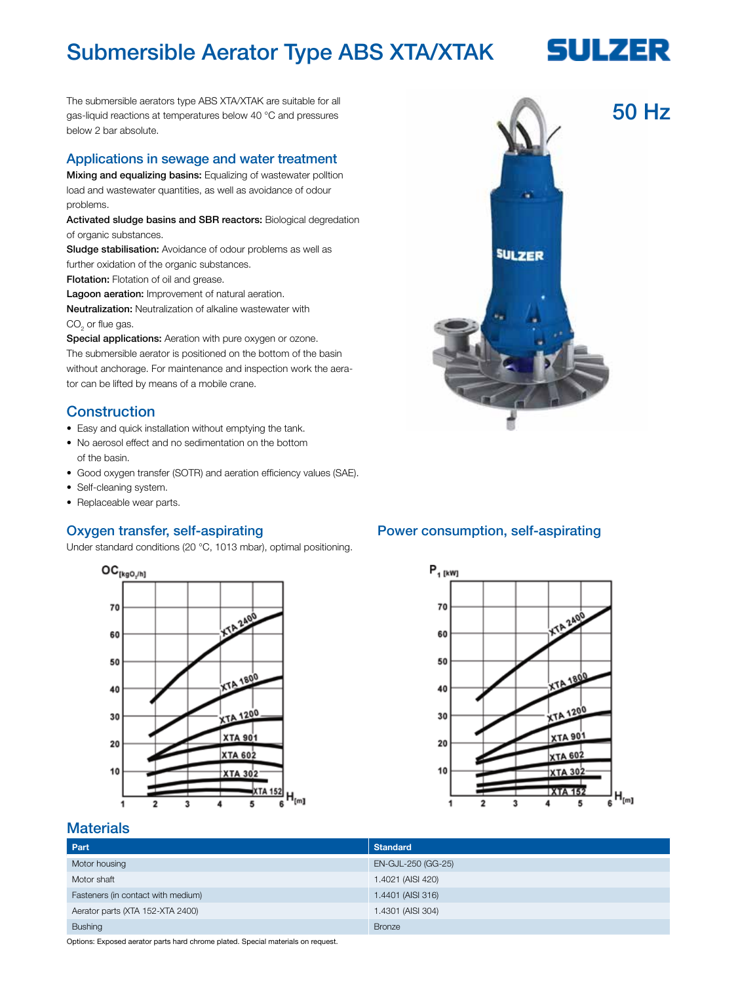## Submersible Aerator Type ABS XTA/XTAK

# **SULZER**

The submersible aerators type ABS XTA/XTAK are suitable for all gas-liquid reactions at temperatures below 40 °C and pressures below 2 bar absolute.

#### Applications in sewage and water treatment

Mixing and equalizing basins: Equalizing of wastewater polltion load and wastewater quantities, as well as avoidance of odour problems.

Activated sludge basins and SBR reactors: Biological degredation of organic substances.

Sludge stabilisation: Avoidance of odour problems as well as further oxidation of the organic substances.

**Flotation:** Flotation of oil and grease.

Lagoon aeration: Improvement of natural aeration.

Neutralization: Neutralization of alkaline wastewater with  $\mathrm{CO}_2^{\phantom{\dag}}$  or flue gas.

Special applications: Aeration with pure oxygen or ozone. The submersible aerator is positioned on the bottom of the basin without anchorage. For maintenance and inspection work the aerator can be lifted by means of a mobile crane.

#### **Construction**

- Easy and quick installation without emptying the tank.
- No aerosol effect and no sedimentation on the bottom of the basin.
- Good oxygen transfer (SOTR) and aeration efficiency values (SAE).
- Self-cleaning system.
- Replaceable wear parts.

#### Oxygen transfer, self-aspirating

Under standard conditions (20 °C, 1013 mbar), optimal positioning.



## Power consumption, self-aspirating



#### **Materials**

| Part                               | <b>Standard</b>    |
|------------------------------------|--------------------|
| Motor housing                      | EN-GJL-250 (GG-25) |
| Motor shaft                        | 1.4021 (AISI 420)  |
| Fasteners (in contact with medium) | 1.4401 (AISI 316)  |
| Aerator parts (XTA 152-XTA 2400)   | 1.4301 (AISI 304)  |
| <b>Bushing</b>                     | <b>Bronze</b>      |

Options: Exposed aerator parts hard chrome plated. Special materials on request.